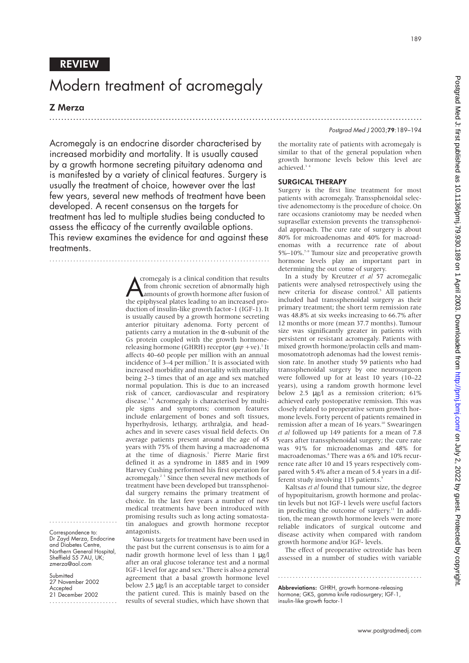189

## REVIEW

# Modern treatment of acromegaly

.............................................................................................................................

## Z Merza

*Postgrad Med J* 2003;79:189–194

Acromegaly is an endocrine disorder characterised by increased morbidity and mortality. It is usually caused by a growth hormone secreting pituitary adenoma and is manifested by a variety of clinical features. Surgery is usually the treatment of choice, however over the last few years, several new methods of treatment have been developed. A recent consensus on the targets for treatment has led to multiple studies being conducted to assess the efficacy of the currently available options. This review examines the evidence for and against these treatments.

..........................................................................

Tromegaly is a clinical condition that results<br>from chronic secretion of abnormally high<br>amounts of growth hormone after fusion of<br>the epiphyseal plates leading to an increased procromegaly is a clinical condition that results from chronic secretion of abnormally high amounts of growth hormone after fusion of duction of insulin-like growth factor-1 (IGF-1). It is usually caused by a growth hormone secreting anterior pituitary adenoma. Forty percent of patients carry a mutation in the α-subunit of the Gs protein coupled with the growth hormonereleasing hormone (GHRH) receptor  $(gsp +ve)$ .<sup>1</sup> It affects 40–60 people per million with an annual incidence of 3–4 per million.<sup>2</sup> It is associated with increased morbidity and mortality with mortality being 2–3 times that of an age and sex matched normal population. This is due to an increased risk of cancer, cardiovascular and respiratory disease.<sup>34</sup> Acromegaly is characterised by multiple signs and symptoms; common features include enlargement of bones and soft tissues, hyperhydrosis, lethargy, arthralgia, and headaches and in severe cases visual field defects. On average patients present around the age of 45 years with 75% of them having a macroadenoma at the time of diagnosis.<sup>1</sup> Pierre Marie first defined it as a syndrome in 1885 and in 1909 Harvey Cushing performed his first operation for acromegaly.<sup>25</sup> Since then several new methods of treatment have been developed but transsphenoidal surgery remains the primary treatment of choice. In the last few years a number of new medical treatments have been introduced with promising results such as long acting somatostatin analogues and growth hormone receptor antagonists.

Various targets for treatment have been used in the past but the current consensus is to aim for a nadir growth hormone level of less than 1  $\mu$ g/l after an oral glucose tolerance test and a normal IGF-1 level for age and sex.<sup>6</sup> There is also a general agreement that a basal growth hormone level below 2.5 µg/l is an acceptable target to consider the patient cured. This is mainly based on the results of several studies, which have shown that

the mortality rate of patients with acromegaly is similar to that of the general population when growth hormone levels below this level are achieved.<sup>3</sup>

#### SURGICAL THERAPY

Surgery is the first line treatment for most patients with acromegaly. Transsphenoidal selective adenomectomy is the procedure of choice. On rare occasions craniotomy may be needed when suprasellar extension prevents the transsphenoidal approach. The cure rate of surgery is about 80% for microadenomas and 40% for macroadenomas with a recurrence rate of about 5%–10%.7–9 Tumour size and preoperative growth hormone levels play an important part in determining the out come of surgery.

In a study by Kreutzer *et al* 57 acromegalic patients were analysed retrospectively using the new criteria for disease control.<sup>5</sup> All patients included had transsphenoidal surgery as their primary treatment; the short term remission rate was 48.8% at six weeks increasing to 66.7% after 12 months or more (mean 37.7 months). Tumour size was significantly greater in patients with persistent or resistant acromegaly. Patients with mixed growth hormone/prolactin cells and mammosomatotroph adenomas had the lowest remission rate. In another study 59 patients who had transsphenoidal surgery by one neurosurgeon were followed up for at least 10 years (10–22 years), using a random growth hormone level below 2.5 µg/l as a remission criterion; 61% achieved early postoperative remission. This was closely related to preoperative serum growth hormone levels. Forty percent of patients remained in remission after a mean of 16 years.<sup>10</sup> Swearingen *et al* followed up 149 patients for a mean of 7.8 years after transsphenoidal surgery; the cure rate was 91% for microadenomas and 48% for macroadenomas.<sup>8</sup> There was a 6% and 10% recurrence rate after 10 and 15 years respectively compared with 5.4% after a mean of 5.4 years in a different study involving 115 patients.

Kaltsas *et al* found that tumour size, the degree of hypopituitarism, growth hormone and prolactin levels but not IGF-1 levels were useful factors in predicting the outcome of surgery.<sup>11</sup> In addition, the mean growth hormone levels were more reliable indicators of surgical outcome and disease activity when compared with random growth hormone and/or IGF- levels.

The effect of preoperative octreotide has been assessed in a number of studies with variable

.................................................

Abbreviations: GHRH, growth hormone-releasing hormone; GKS, gamma knife radiosurgery; IGF-1, insulin-like growth factor-1

Correspondence to: Dr Zayd Merza, Endocrine and Diabetes Centre, Northern General Hospital, Sheffield S5 7AU, UK; zmerza@aol.com

.......................

**Submitted** 27 November 2002 Accepted 21 December 2002 .......................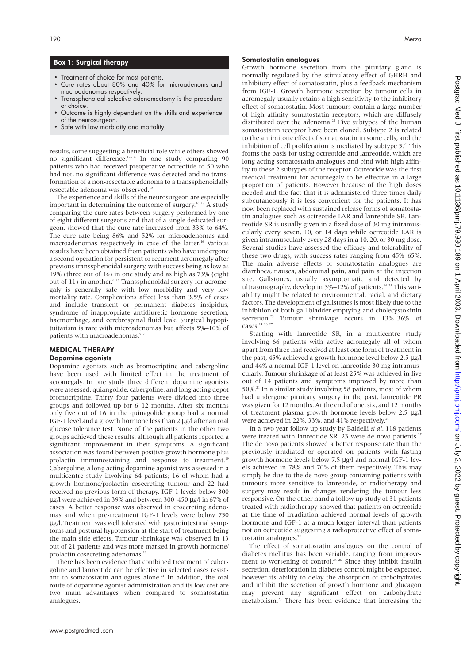## Box 1: Surgical therapy

- Treatment of choice for most patients.
- Cure rates about 80% and 40% for microadenoms and macroadenomas respectively.
- Transsphenoidal selective adenomectomy is the procedure of choice.
- Outcome is highly dependent on the skills and experience of the neurosurgeon.
- Safe with low morbidity and mortality.

results, some suggesting a beneficial role while others showed no significant difference.<sup>12–14</sup> In one study comparing 90 patients who had received preoperative octreotide to 50 who had not, no significant difference was detected and no transformation of a non-resectable adenoma to a transsphenoidally resectable adenoma was observed.<sup>15</sup>

The experience and skills of the neurosurgeon are especially important in determining the outcome of surgery.16 17 A study comparing the cure rates between surgery performed by one of eight different surgeons and that of a single dedicated surgeon, showed that the cure rate increased from 33% to 64%. The cure rate being 86% and 52% for microadenomas and macroadenomas respectively in case of the latter.<sup>16</sup> Various results have been obtained from patients who have undergone a second operation for persistent or recurrent acromegaly after previous transsphenoidal surgery, with success being as low as 19% (three out of 16) in one study and as high as 73% (eight out of 11) in another.<sup>8 18</sup> Transsphenoidal surgery for acromegaly is generally safe with low morbidity and very low mortality rate. Complications affect less than 3.5% of cases and include transient or permanent diabetes insipidus, syndrome of inappropriate antidiuretic hormone secretion, haemorrhage, and cerebrospinal fluid leak. Surgical hypopituitarism is rare with microadenomas but affects 5%–10% of patients with macroadenomas.<sup>57</sup>

#### MEDICAL THERAPY

#### Dopamine agonists

Dopamine agonists such as bromocriptine and cabergoline have been used with limited effect in the treatment of acromegaly. In one study three different dopamine agonists were assessed: quiangolide, cabergoline, and long acting depot bromocriptine. Thirty four patients were divided into three groups and followed up for 6–12 months. After six months only five out of 16 in the quinagolide group had a normal IGF-1 level and a growth hormone less than 2 µg/l after an oral glucose tolerance test. None of the patients in the other two groups achieved these results, although all patients reported a significant improvement in their symptoms. A significant association was found between positive growth hormone plus prolactin immunostaining and response to treatment.<sup>19</sup> Cabergoline, a long acting dopamine agonist was assessed in a multicentre study involving 64 patients; 16 of whom had a growth hormone/prolactin cosecreting tumour and 22 had received no previous form of therapy. IGF-1 levels below 300 µg/l were achieved in 39% and between 300–450 µg/l in 67% of cases. A better response was observed in cosecreting adenomas and when pre-treatment IGF-1 levels were below 750 µg/l. Treatment was well tolerated with gastrointestinal symptoms and postural hypotension at the start of treatment being the main side effects. Tumour shrinkage was observed in 13 out of 21 patients and was more marked in growth hormone/ prolactin cosecreting adenomas.<sup>20</sup>

There has been evidence that combined treatment of cabergoline and lanreotide can be effective in selected cases resistant to somatostatin analogues alone.<sup>21</sup> In addition, the oral route of dopamine agonist administration and its low cost are two main advantages when compared to somatostatin analogues.

## Somatostatin analogues

Growth hormone secretion from the pituitary gland is normally regulated by the stimulatory effect of GHRH and inhibitory effect of somatostatin, plus a feedback mechanism from IGF-1. Growth hormone secretion by tumour cells in acromegaly usually retains a high sensitivity to the inhibitory effect of somatostatin. Most tumours contain a large number of high affinity somatostatin receptors, which are diffusely distributed over the adenoma.<sup>22</sup> Five subtypes of the human somatostatin receptor have been cloned. Subtype 2 is related to the antimitotic effect of somatostatin in some cells, and the inhibition of cell proliferation is mediated by subtype  $5.^{23}$ . This forms the basis for using octreotide and lanreotide, which are long acting somatostatin analogues and bind with high affinity to these 2 subtypes of the receptor. Octreotide was the first medical treatment for acromegaly to be effective in a large proportion of patients. However because of the high doses needed and the fact that it is administered three times daily subcutaneously it is less convenient for the patients. It has now been replaced with sustained release forms of somatostatin analogues such as octreotide LAR and lanreotide SR. Lanreotide SR is usually given in a fixed dose of 30 mg intramuscularly every seven, 10, or 14 days while octreotide LAR is given intramuscularly every 28 days in a 10, 20, or 30 mg dose. Several studies have assessed the efficacy and tolerability of these two drugs, with success rates ranging from 45%–65%. The main adverse effects of somatostatin analogues are diarrhoea, nausea, abdominal pain, and pain at the injection site. Gallstones, usually asymptomatic and detected by ultrasonography, develop in 3%-12% of patients.<sup>24 25</sup> This variability might be related to environmental, racial, and dietary factors. The development of gallstones is most likely due to the inhibition of both gall bladder emptying and cholecystokinin secretion.<sup>23</sup> Tumour shrinkage occurs in 13%-36% of cases.<sup>24</sup> <sup>26</sup> <sup>27</sup>

Starting with lanreotide SR, in a multicentre study involving 66 patients with active acromegaly all of whom apart from three had received at least one form of treatment in the past, 45% achieved a growth hormone level below 2.5 µg/l and 44% a normal IGF-1 level on lanreotide 30 mg intramuscularly. Tumour shrinkage of at least 25% was achieved in five out of 14 patients and symptoms improved by more than 50%.24 In a similar study involving 58 patients, most of whom had undergone pituitary surgery in the past, lanreotide PR was given for 12 months. At the end of one, six, and 12 months of treatment plasma growth hormone levels below 2.5 µg/l were achieved in 22%, 33%, and 41% respectively.<sup>2</sup>

In a two year follow up study by Baldelli *et al*, 118 patients were treated with lanreotide SR, 23 were de novo patients.<sup>27</sup> The de novo patients showed a better response rate than the previously irradiated or operated on patients with fasting growth hormone levels below 7.5 µg/l and normal IGF-1 levels achieved in 78% and 70% of them respectively. This may simply be due to the de novo group containing patients with tumours more sensitive to lanreotide, or radiotherapy and surgery may result in changes rendering the tumour less responsive. On the other hand a follow up study of 31 patients treated with radiotherapy showed that patients on octreotide at the time of irradiation achieved normal levels of growth hormone and IGF-1 at a much longer interval than patients not on octreotide suggesting a radioprotective effect of somatostatin analogues. $^{28}$ 

The effect of somatostatin analogues on the control of diabetes mellitus has been variable, ranging from improvement to worsening of control.<sup>24–26</sup> Since they inhibit insulin secretion, deterioration in diabetes control might be expected, however its ability to delay the absorption of carbohydrates and inhibit the secretion of growth hormone and glucagon may prevent any significant effect on carbohydrate metabolism.23 There has been evidence that increasing the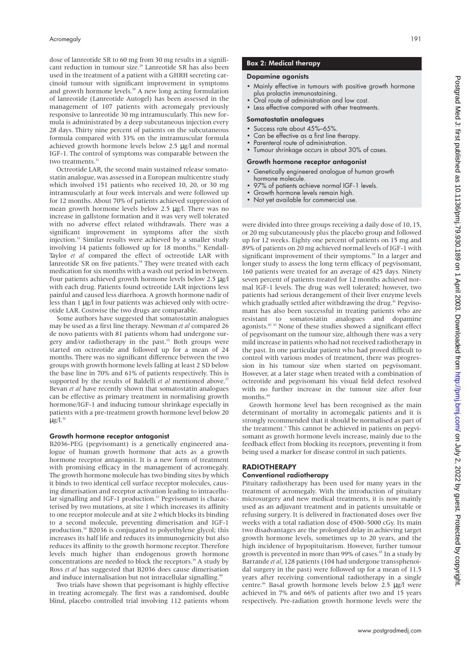dose of lanreotide SR to 60 mg from 30 mg results in a significant reduction in tumour size.<sup>29</sup> Lanreotide SR has also been used in the treatment of a patient with a GHRH secreting carcinoid tumour with significant improvement in symptoms and growth hormone levels.<sup>30</sup> A new long acting formulation of lanreotide (Lanreotide Autogel) has been assessed in the management of 107 patients with acromegaly previously responsive to lanreotide 30 mg intramuscularly. This new formula is administrated by a deep subcutaneous injection every 28 days. Thirty nine percent of patients on the subcutaneous formula compared with 33% on the imtramuscular formula achieved growth hormone levels below 2.5 µg/l and normal IGF-1. The control of symptoms was comparable between the two treatments.<sup>31</sup>

Octreotide LAR, the second main sustained release somatostatin analogue, was assessed in a European multicentre study which involved 151 patients who received 10, 20, or 30 mg intramuscularly at four week intervals and were followed up for 12 months. About 70% of patients achieved suppression of mean growth hormone levels below 2.5 µg/l. There was no increase in gallstone formation and it was very well tolerated with no adverse effect related withdrawals. There was a significant improvement in symptoms after the sixth injection.32 Similar results were achieved by a smaller study involving 14 patients followed up for 18 months.<sup>33</sup> Kendall-Taylor *et al* compared the effect of octreotide LAR with lanreotide SR on five patients.<sup>34</sup> They were treated with each medication for six months with a wash out period in between. Four patients achieved growth hormone levels below 2.5 µg/l with each drug. Patients found octreotide LAR injections less painful and caused less diarrhoea. A growth hormone nadir of less than 1  $\mu$ g/l in four patients was achieved only with octreotide LAR. Costwise the two drugs are comparable.

Some authors have suggested that somatostatin analogues may be used as a first line therapy. Newman *et al* compared 26 de novo patients with 81 patients whom had undergone surgery and/or radiotherapy in the past.<sup>35</sup> Both groups were started on octreotide and followed up for a mean of 24 months. There was no significant difference between the two groups with growth hormone levels falling at least 2 SD below the base line in 70% and 61% of patients respectively. This is supported by the results of Baldelli et al mentioned above.<sup>27</sup> Bevan *et al* have recently shown that somatostatin analogues can be effective as primary treatment in normalising growth hormone/IGF-1 and inducing tumour shrinkage especially in patients with a pre-treatment growth hormone level below 20  $\mu$ g/l.<sup>36</sup>

#### Growth hormone receptor antagonist

B2036-PEG (pegvisomant) is a genetically engineered analogue of human growth hormone that acts as a growth hormone receptor antagonist. It is a new form of treatment with promising efficacy in the management of acromegaly. The growth hormone molecule has two binding sites by which it binds to two identical cell surface receptor molecules, causing dimerisation and receptor activation leading to intracellular signalling and IGF-1 production.<sup>37</sup> Pegvisomant is characterised by two mutations, at site 1 which increases its affinity to one receptor molecule and at site 2 which blocks its binding to a second molecule, preventing dimerisation and IGF-1 production.38 B2036 is conjugated to polyethylene glycol; this increases its half life and reduces its immunogenicity but also reduces its affinity to the growth hormone receptor. Therefore levels much higher than endogenous growth hormone concentrations are needed to block the receptors.<sup>39</sup> A study by Ross *et al* has suggested that B2036 does cause dimerisation and induce internalisation but not intracellular signalling.<sup>40</sup>

Two trials have shown that pegvisomant is highly effective in treating acromegaly. The first was a randomised, double blind, placebo controlled trial involving 112 patients whom

## Box 2: Medical therapy

#### Dopamine agonists

- Mainly effective in tumours with positive growth hormone plus prolactin immunostaining.
- Oral route of administration and low cost.
- Less effective compared with other treatments.

#### Somatostatin analogues

- Success rate about 45%–65%.
- Can be effective as a first line therapy.
- Parenteral route of administration.
- Tumour shrinkage occurs in about 30% of cases.
- Growth hormone receptor antagonist
- Genetically engineered analogue of human growth hormone molecule.
- 97% of patients achieve normal IGF-1 levels.
- Growth hormone levels remain high.
- Not yet available for commercial use.

were divided into three groups receiving a daily dose of 10, 15, or 20 mg subcutaneously plus the placebo group and followed up for 12 weeks. Eighty one percent of patients on 15 mg and 89% of patients on 20 mg achieved normal levels of IGF-1 with significant improvement of their symptoms.<sup>38</sup> In a larger and longer study to assess the long term efficacy of pegvisomant, 160 patients were treated for an average of 425 days. Ninety seven percent of patients treated for 12 months achieved normal IGF-1 levels. The drug was well tolerated; however, two patients had serious derangement of their liver enzyme levels which gradually settled after withdrawing the drug.<sup>41</sup> Pegvisomant has also been successful in treating patients who are resistant to somatostatin analogues and dopamine  $a$ gonists.<sup>42,43</sup> None of these studies showed a significant effect of pegvisomant on the tumour size, although there was a very mild increase in patients who had not received radiotherapy in the past. In one particular patient who had proved difficult to control with various modes of treatment, there was progression in his tumour size when started on pegvisomant. However, at a later stage when treated with a combination of octreotide and pegvisomant his visual field defect resolved with no further increase in the tumour size after four months.<sup>44</sup>

Growth hormone level has been recognised as the main determinant of mortality in acromegalic patients and it is strongly recommended that it should be normalised as part of the treatment.<sup>6</sup> This cannot be achieved in patients on pegvisomant as growth hormone levels increase, mainly due to the feedback effect from blocking its receptors, preventing it from being used a marker for disease control in such patients.

## RADIOTHERAPY

## Conventional radiotherapy

Pituitary radiotherapy has been used for many years in the treatment of acromegaly. With the introduction of pituitary microsurgery and new medical treatments, it is now mainly used as an adjuvant treatment and in patients unsuitable or refusing surgery. It is delivered in fractionated doses over five weeks with a total radiation dose of 4500–5000 cGy. Its main two disadvantages are the prolonged delay in achieving target growth hormone levels, sometimes up to 20 years, and the high incidence of hypopituitarism. However, further tumour growth is prevented in more than 99% of cases.<sup>45</sup> In a study by Barrande *et al*, 128 patients (104 had undergone transsphenoidal surgery in the past) were followed up for a mean of 11.5 years after receiving conventional radiotherapy in a single centre.46 Basal growth hormone levels below 2.5 µg/l were achieved in 7% and 66% of patients after two and 15 years respectively. Pre-radiation growth hormone levels were the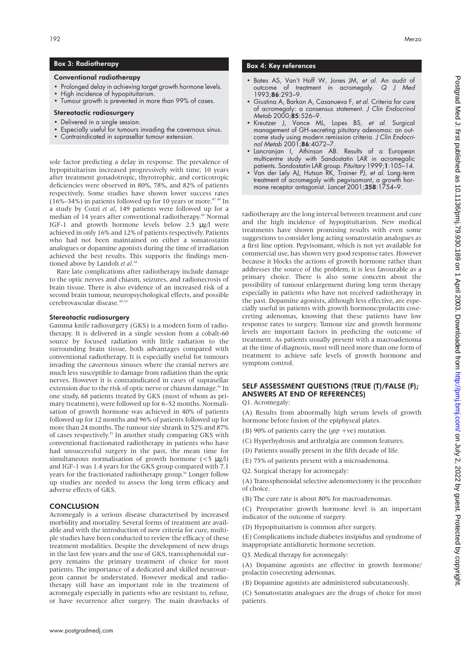## Box 3: Radiotherapy

#### Conventional radiotherapy

- Prolonged delay in achieving target growth hormone levels.
- High incidence of hypopituitarism.
- Tumour growth is prevented in more than 99% of cases.

#### Stereotactic radiosurgery

## • Delivered in a single session.

- Especially useful for tumours invading the cavernous sinus.
- Contraindicated in suprasellar tumour extension.

sole factor predicting a delay in response. The prevalence of hypopituitarism increased progressively with time; 10 years after treatment gonadotropic, thyrotrophic, and corticotropic deficiencies were observed in 80%, 78%, and 82% of patients respectively. Some studies have shown lower success rates (16%–34%) in patients followed up for 10 years or more.<sup>47,48</sup> In a study by Cozzi *et al*, 149 patients were followed up for a median of 14 years after conventional radiotherapy.<sup>49</sup> Normal IGF-1 and growth hormone levels below 2.5 µg/l were achieved in only 16% and 12% of patients respectively. Patients who had not been maintained on either a somatostatin analogues or dopamine agonists during the time of irradiation achieved the best results. This supports the findings mentioned above by Landolt *et al*. 28

Rare late complications after radiotherapy include damage to the optic nerves and chiasm, seizures, and radionecrosis of brain tissue. There is also evidence of an increased risk of a second brain tumour, neuropsychological effects, and possible cerebrovascular disease.<sup>50–53</sup>

#### Stereotactic radiosurgery

Gamma knife radiosurgery (GKS) is a modern form of radiotherapy. It is delivered in a single session from a cobalt-60 source by focused radiation with little radiation to the surrounding brain tissue, both advantages compared with conventional radiotherapy. It is especially useful for tumours invading the cavernous sinuses where the cranial nerves are much less susceptible to damage from radiation than the optic nerves. However it is contraindicated in cases of suprasellar extension due to the risk of optic nerve or chiasm damage.<sup>54</sup> In one study, 68 patients treated by GKS (most of whom as primary treatment), were followed up for 6–52 months. Normalisation of growth hormone was achieved in 40% of patients followed up for 12 months and 96% of patients followed up for more than 24 months. The tumour size shrank in 52% and 87% of cases respectively.<sup>55</sup> In another study comparing GKS with conventional fractionated radiotherapy in patients who have had unsuccessful surgery in the past, the mean time for simultaneous normalisation of growth hormone  $\langle$  <5  $\mu$ g/l) and IGF-1 was 1.4 years for the GKS group compared with 7.1 years for the fractionated radiotherapy group.<sup>56</sup> Longer follow up studies are needed to assess the long term efficacy and adverse effects of GKS.

## **CONCLUSION**

Acromegaly is a serious disease characterised by increased morbidity and mortality. Several forms of treatment are available and with the introduction of new criteria for cure, multiple studies have been conducted to review the efficacy of these treatment modalities. Despite the development of new drugs in the last few years and the use of GKS, transsphenoidal surgery remains the primary treatment of choice for most patients. The importance of a dedicated and skilled neurosurgeon cannot be understated. However medical and radiotherapy still have an important role in the treatment of acromegaly especially in patients who are resistant to, refuse, or have recurrence after surgery. The main drawbacks of

- Bates AS, Van't Hoff W, Jones JM, *et al*. An audit of outcome of treatment in acromegaly. *Q J Med* 1993;86:293–9.
- Giustina A, Barkan A, Casanueva F, *et al*. Criteria for cure of acromegaly: a consensus statement. *J Clin Endocrinol Metab* 2000;**85**:526-9.<br>*Kreutzer* J, Vance ML,
- Lopes BS, et al. Surgical management of GH-secreting pituitary adenomas: an outcome study using modern remission criteria. *J Clin Endocrinol Metab* 2001;86:4072–7.
- Lancranjan I, Athinson AB. Results of a European multicentre study with Sandostatin LAR in acromegalic patients. Sandostatin LAR group. *Pituitary* 1999;1:105–14.
- Van der Lely AJ, Hutson RK, Trainer PJ, *et al*. Long-term treatment of acromegaly with pegvisomant, a growth hormone receptor antagonist. *Lancet* 2001;358:1754–9.

radiotherapy are the long interval between treatment and cure and the high incidence of hypopituitarism. New medical treatments have shown promising results with even some suggestions to consider long acting somatostatin analogues as a first line option. Pegvisomant, which is not yet available for commercial use, has shown very good response rates. However because it blocks the actions of growth hormone rather than addresses the source of the problem, it is less favourable as a primary choice. There is also some concern about the possibility of tumour enlargement during long term therapy especially in patients who have not received radiotherapy in the past. Dopamine agonists, although less effective, are especially useful in patients with growth hormone/prolactin cosecreting adenomas, knowing that these patients have low response rates to surgery. Tumour size and growth hormone levels are important factors in predicting the outcome of treatment. As patients usually present with a macroadenoma at the time of diagnosis, most will need more than one form of treatment to achieve safe levels of growth hormone and symptom control.

## SELF ASSESSMENT QUESTIONS (TRUE (T)/FALSE (F); ANSWERS AT END OF REFERENCES)

Q1. Acromegaly:

(A) Results from abnormally high serum levels of growth hormone before fusion of the epiphyseal plates.

- (B) 90% of patients carry the (*gsp* +ve) mutation.
- (C) Hyperhydrosis and arthralgia are common features.
- (D) Patients usually present in the fifth decade of life.
- (E) 75% of patients present with a microadenoma.
- Q2. Surgical therapy for acromegaly:

(A) Transsphenoidal selective adenomectomy is the procedure of choice.

(B) The cure rate is about 80% for macroadenomas.

(C) Preoperative growth hormone level is an important indicator of the outcome of surgery.

(D) Hypopituitarism is common after surgery.

(E) Complications include diabetes insipidus and syndrome of inappropriate antidiuretic hormone secretion.

Q3. Medical therapy for acromegaly:

(A) Dopamine agonists are effective in growth hormone/ prolactin cosecreting adenomas.

(B) Dopamine agonists are administered subcutaneously.

(C) Somatostatin analogues are the drugs of choice for most patients.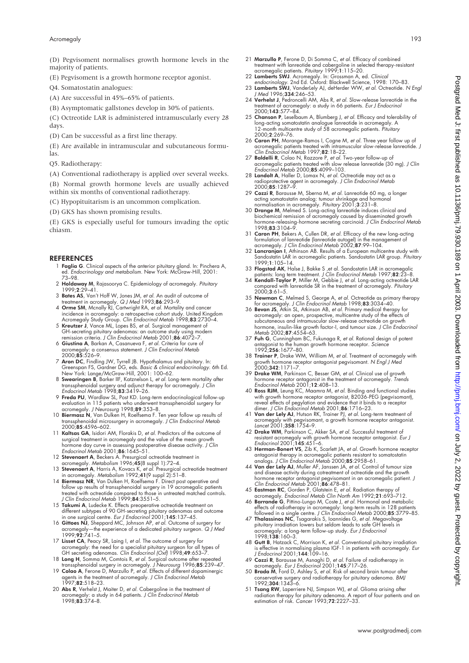(D) Pegvisoment normalises growth hormone levels in the majority of patients.

(E) Pegvisoment is a growth hormone receptor agonist.

Q4. Somatostatin analogues:

(A) Are successful in 45%–65% of patients.

(B) Asymptomatic gallstones develop in 30% of patients.

(C) Octreotide LAR is administered intramuscularly every 28 days.

(D) Can be successful as a first line therapy.

(E) Are available in intramuscular and subcutaneous formulas.

Q5. Radiotherapy:

(A) Conventional radiotherapy is applied over several weeks. (B) Normal growth hormone levels are usually achieved

within six months of conventional radiotherapy.

(C) Hypopituitarism is an uncommon complication.

(D) GKS has shown promising results.

(E) GKS is especially useful for tumours invading the optic chiasm.

## **REFERENCES**

- 1 Faglia G. Clinical aspects of the anterior pituitary gland. In: Pinchera A, ed. *Endocrinology and metabolism*. New York: McGraw-Hill, 2001: 73–98.
- 2 Holdaway M, Rajasoorya C. Epidemiology of acromegaly. *Pituitary* 1999;2:29–41.
- 3 Bates AS, Van't Hoff W, Jones JM, *et al*. An audit of outcome of treatment in acromegaly. *Q J Med* 1993;86:293–9. 4 Orme SM, Mcnally RJ, Cartwright RA, *et al*. Mortality and cancer
- 
- incidence in acromegaly: a retrospective cohort study. United Kingdom<br>Acromegaly Study Group. *Clin Endocrinol Metab* 1998;**83**:2730–4.<br>5 **Kreutzer J**, Vance ML, Lopes BS, et al. Surgical management of<br>GH-secreting pituita
- 6 Giustina A, Barkan A, Casanueva F, *et al*. Criteria for cure of acromegaly: a consensus statement. *J Clin Endocrinol Metab* 2000;85:526–9.
- 7 Aron DC, Findling JW, Tyrrell JB. Hypothalamus and pituitary. In: Greenspan FS, Gardner DG, eds. *Basic & clinical endocrinology.* 6th Ed. New York: Lange/McGraw-Hill, 2001: 100–62.
- 8 Swearingen B, Barker IIF, Katznelson L, *et al*. Long-term mortality after transsphenoidal surgery and adjunct therapy for acromegaly*. J Clin Endocrinol Metab* 1998;83:3419–26.
- 9 Freda PU, Wardlaw SL, Post KD. Long-term endocrinological follow-up evaluation in 115 patients who underwent transsphenoidal surgery for acromegaly. *J Neurosurg* 1998;89:353–8.
- 10 Biermasz N, Van Dulken H, Roelfsema F. Ten year follow up results of transsphenoidal microsurgery in acromegaly*. J Clin Endocrinol Metab* 2000;85:4596–602.
- 11 Kaltsas GA, Isidori AM, Florakis D, *et al*. Predictors of the outcome of surgical treatment in acromegaly and the value of the mean growth hormone day curve in assessing postoperative disease activity. *J Clin Endocrinol Metab* 2001;86:1645–51.
- 12 Stevenaert A, Beckers A. Presurgical octreotide treatment in
- acromegaly. Metabolism 1996;45(8 suppl 1):72–4.<br>13 **Stevenaert A**, Harris A, Kovacs K, *et al.* Presurgical octreotide treatment<br>in acromegaly. Metabolism 1992;41(9 suppl 2):51–8.<br>**14 Biermasz NR**, Van Dulken H, Roelfsema
- treated with octreotide compared to those in untreated matched controls. *J Clin Endocrinol Metab* 1999;84:3551–5.
- 15 Takumi A, Ludecke K. Effects preoperative octreotide treatment on different subtypes of 90 GH-secreting pituitary adenomas and outcome in one surgical centre. *Eur J Endocrinol* 2001;145:137–45.
- 16 Gittoes NJ, Sheppard MC, Johnson AP, *et al*. Outcome of surgery for acromegaly—the experience of a dedicated pituitary surgeon. *Q J Med* 1999;92:741–5.
- 17 Lisset CA, Peacy SR, Laing I, *et al*. The outcome of surgery for acromegaly: the need for a specialist pituitary surgeon for all types of GH secreting adenomas. *Clin Endocrinol (Oxf)* 1998;49:653–7. 18 Long H, Somma M, Comtois R, *et al*. Surgical outcome after repeated
- transsphenoidal surgery in acromegaly. J Neurosurg 1996;**85**:239–47.<br>19 **Colao A**, Ferone D, Marzullo P, *et al.* Effects of different dopaminergic<br>19 agents in the treatment of acromegaly. J Clin Endocrinol Metab
- 1997;82:518–23. 20 Abs R, Verhelst J, Maiter D, *et al.* Cabergoline in the treatment of acromegaly: a study in 64 patients. *J Clin Endocrinol Metab* 1998;83:374–8.
- 21 Marzullo P, Ferone D, Di Somma C, *et al.* Efficacy of combined treatment with lanreotide and cabergoline in selected therapy-resistant acromegalic patients. *Pituitary* 1999;1:115–20.
- 22 Lamberts SWJ. Acromegaly. In: Grossman A, ed. *Clinical endocrinology.* 2nd Ed. Oxford: Blackwell Science, 1998: 170–83.
- 23 Lamberts SWJ, VanderLely AJ, deHerder WW, *et al*. Octreotide. *N Engl J Med* 1996;334:246–53. 24 Verhelst J, Pedroncelli AM, Abs R, *et al*. Slow-release lanreotide in the
- treatment of acromegaly: a study in 66 patients. *Eur J Endocrinol* 2000;143:577–84.
- 25 Chanson P, Leselbaum A, Blumberg J, *et al*. Efficacy and tolerability of long-acting somatostatin analogue lanreotide in acromegaly. A 12-month multicentre study of 58 acromegalic patients. *Pituitary* 2000;2:269–76.
- 26 Caron PH, Morange-Ramos I, Cogne M, *et al.* Three year follow up of acromegalic patients treated with intramuscular slow-release lanreotide. *J Clin Endocrinol Metab* 1997;82:18–22.
- 27 Baldelli R, Colao N, Razzore P, *et al*. Two-year follow-up of acromegalic patients treated with slow release lanreotide (30 mg). *J Clin Endocrinol Metab* 2000;85:4099–103.
- 28 Landolt A, Haller D, Lomax N, *et al.* Octreotide may act as a radioprotective agent in acromegaly. *J Clin Endocrinol Metab* 2000;85:1287–9.
- 29 Cozzi R, Barausse M, Sberna M, *et al*. Lanreotide 60 mg, a longer acting somatostatin analog: tumour shrinkage and hormonal
- normalisation in acromegaly. *Pituitary* 2001;3:231–8. 30 Drange M, Melmed S. Long-acting lanreotide induces clinical and biochemical remission of acromegaly caused by disseminated growth hormone-releasing-hormone secreting carcinoid. *J Clin Endocrinol Metab* 1998;83:3104–9.
- 31 Caron PH, Bekers A, Cullen DR, *et al.* Efficacy of the new long-acting formulation of lanreotide (lanreotide autogel) in the management of acromegaly*. J Clin Endocrinol Metab* 2002;87:99–104.
- 32 Lancranjan I, Athinson AB. Results of a European multicentre study with Sandostatin LAR in acromegalic patients. Sandostatin LAR group. *Pituitary* 1999;1:105–14.
- 33 **Flogstad AK**, Halse J, Bakke S ,et al. Sandostatin LAR in acromegalic<br>patients: long term treatment. *J Clin Endocrinol Metab* 1997;**82**:23–8.<br>34 **Kendall-Taylor P**, Miller M, Gebbie J, *et al*. Long-acting octreotide
- compared with lanreotide SR in the treatment of acromegaly. *Pituitary* 2000;3:61–5.
- 35 Newman C, Melmed S, George A, *et al.* Octreotide as primary therapy for acromegaly. *J Clin Endocrinol Metab* 1998;83:3034–40. 36 Bevan JS, Atkin SL, Atkinson AB, *et al.* Primary medical therapy for
- acromegaly: an open, prospective, multicentre study of the effects of subcutaneous and intramuscular slow-release octreotide on growth hormone, insulin-like growth factor-I, and tumour size. *J Clin Endocrinol Metab* 2002;87:4554–63.
- 37 Fuh G, Cunningham BC, Fukunaga R, *et al*. Rational design of potent antagonist to the human growth hormone receptor. *Science* 1992;256:1677–80.
- 38 Trainer P, Drake WM, William M, *et al*. Treatment of acromegaly with growth hormone receptor antagonist pegvisomant. *N Engl J Med* 2000;342:1171–7.
- 39 Drake WM, Parkinson C, Besser GM, *et al.* Clinical use of growth hormone receptor antagonist in the treatment of acromegaly. *Trends Endocrinol Metab* 2001;12:408–13.
- 40 Ross RJM, Leung KC, Maamra M, *et al*. Binding and functional studies with growth hormone receptor antagonist, B2036-PEG (pegvisomant), reveal effects of pegylation and evidence that it binds to a receptor
- dimer. *J Clin Endocrinol Metab* 2001;**86**:1716–23.<br>41 **Van der Lely AJ**, Hutson RK, Trainer PJ, *et al.* Long-term treatment of<br>acromegaly with pegvisomant, a growth hormone receptor antagonist.<br>*Lancet* 2001;3**58**:1754–9
- 42 **Drake WM**, Parkinson C, Akker SA, *et al.* Successful treatment of<br>resistant acromegaly with growth hormone receptor antagonist. *Eur J*<br>Endocrinol 2001;1**45**:451–6.<br>**43 Herman-Bonert VS**, Zib K, Scarlett JA, *et al.*
- antagonist therapy in acromegalic patients resistant to somatostatin analogs. *J Clin Endocrinol Metab* 2000;85:2958–61. 44 Van der Lely AJ, Muller AF, Janssen JA, *et al.* Control of tumour size
- and disease activity during cotreatment of octreotide and the growth
- hormone receptor antagonist pegvisomant in an acromegalic patient. J<br>Clin Endocrinol Metab 2001;86:478-81.<br>45 **Eastman RC**, Gorden P, Glatstein E, et al. Radiation therapy of<br>acromegaly. Endocrinol Metab Clin North Am 1992
- 
- effects of radiotherapy in acromegaly: long-term results in 128 patients<br>followed in a single centre. J Clin Endocrinol Metab 2000;85:3779–85.<br>47 Thalassinos NC, Tsagarakis S, loannides G, et al. Megavoltage<br>pituitary irra
- 1998;138:160–3. 48 Gutt B, Hatzack C, Morrison K, *et al*. Conventional pituitary irradiation is effective in normalising plasma IGF-1 in patients with acromegaly. *Eur J Endocrinol* 2001;144:109–16.
- 49 Cozzi R, Barausse M, Asnaghi D, *et al*. Failure of radiotherapy in acromegaly. *Eur J Endocrinol* 2001;145:717–26. 50 Brada M, Ford D, Ashley S, *et al.* Risk of second brain tumour after
- conservative surgery and radiotherapy for pituitary adenoma. *BMJ* 1992;304:1343–6.
- 51 Tsang RW, Laperriere NJ, Simpson WJ, *et al*. Glioma arising after radiation therapy for pituitary adenoma. A report of four patients and an estimation of risk. *Cancer* 1993;72:2227–33.